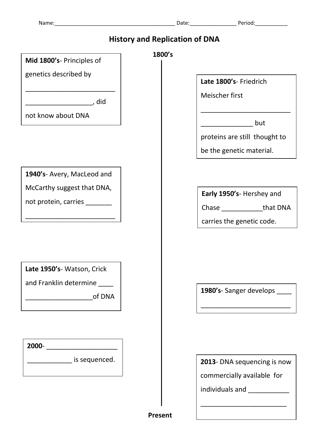| <b>Name</b> |  |
|-------------|--|
|             |  |

| <b>History and Replication of DNA</b>                                                                          |                                                                                                                                                                                                                                      |  |
|----------------------------------------------------------------------------------------------------------------|--------------------------------------------------------------------------------------------------------------------------------------------------------------------------------------------------------------------------------------|--|
| Mid 1800's- Principles of                                                                                      | 1800's                                                                                                                                                                                                                               |  |
| genetics described by                                                                                          | Late 1800's- Friedrich                                                                                                                                                                                                               |  |
| did, the set of the set of the set of the set of the set of the set of the set of the set of the set of the se | Meischer first                                                                                                                                                                                                                       |  |
| not know about DNA                                                                                             | and the but                                                                                                                                                                                                                          |  |
|                                                                                                                | proteins are still thought to                                                                                                                                                                                                        |  |
|                                                                                                                | be the genetic material.                                                                                                                                                                                                             |  |
| 1940's- Avery, MacLeod and                                                                                     |                                                                                                                                                                                                                                      |  |
| McCarthy suggest that DNA,                                                                                     | Early 1950's- Hershey and                                                                                                                                                                                                            |  |
| not protein, carries ______                                                                                    | Chase _________________that DNA                                                                                                                                                                                                      |  |
|                                                                                                                | carries the genetic code.                                                                                                                                                                                                            |  |
| Late 1950's- Watson, Crick<br>and Franklin determine _____<br><b>Example 1</b> of DNA                          | 1980's-Sanger develops _____<br>______________________________                                                                                                                                                                       |  |
| 2000- ______________________                                                                                   |                                                                                                                                                                                                                                      |  |
| _______________ is sequenced.                                                                                  | 2013- DNA sequencing is now                                                                                                                                                                                                          |  |
|                                                                                                                | commercially available for                                                                                                                                                                                                           |  |
|                                                                                                                | individuals and <b>with the contract of the contract of the contract of the contract of the contract of the control of the contract of the contract of the contract of the contract of the contract of the contract of the contr</b> |  |
|                                                                                                                |                                                                                                                                                                                                                                      |  |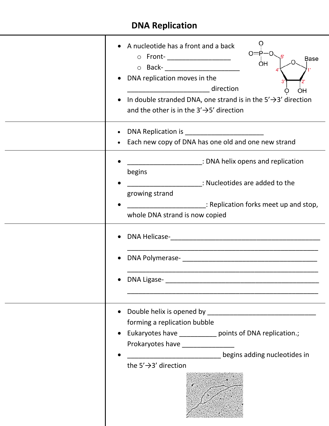## **DNA Replication**

| • A nucleotide has a front and a back<br>o Front-___________________<br>Base<br>ÒΗ<br>o Back- ______________________<br>• DNA replication moves in the<br>______________________________ direction<br>OH<br>In double stranded DNA, one strand is in the $5' \rightarrow 3'$ direction<br>and the other is in the $3' \rightarrow 5'$ direction                                                                                                                                 |
|---------------------------------------------------------------------------------------------------------------------------------------------------------------------------------------------------------------------------------------------------------------------------------------------------------------------------------------------------------------------------------------------------------------------------------------------------------------------------------|
| • Each new copy of DNA has one old and one new strand                                                                                                                                                                                                                                                                                                                                                                                                                           |
| EXAMPLE TO DISPUTE THE REPORT OF THE REPORT OF THE REPORT OF THE REPORT OF THE REPORT OF THE REPORT OF THE REP<br>begins<br>Example 20 in the state of the contract of the contract of the contract of the contract of the contract of the<br>growing strand<br>_______________________: Replication forks meet up and stop,<br>whole DNA strand is now copied<br>DNA Polymerase- https://www.asia.com/2010/01/2010 12:00:00 12:00:00 12:00:00 12:00:00 12:00:00 12:00:00 12:00 |
| forming a replication bubble<br>Eukaryotes have _____________ points of DNA replication.;<br>$\bullet$<br>Prokaryotes have _______________<br>degins adding nucleotides in<br>the $5' \rightarrow 3'$ direction                                                                                                                                                                                                                                                                 |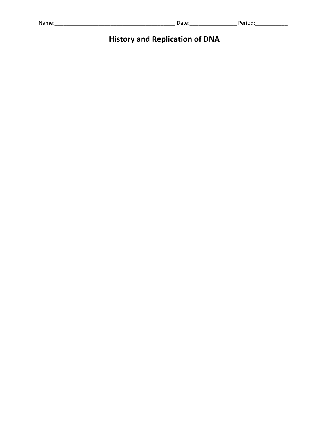| $\mathbf{A}$<br>wa.<br>,,,,,,<br>.<br>- | - - - - - | ____ |
|-----------------------------------------|-----------|------|
|                                         |           |      |

## **History and Replication of DNA**